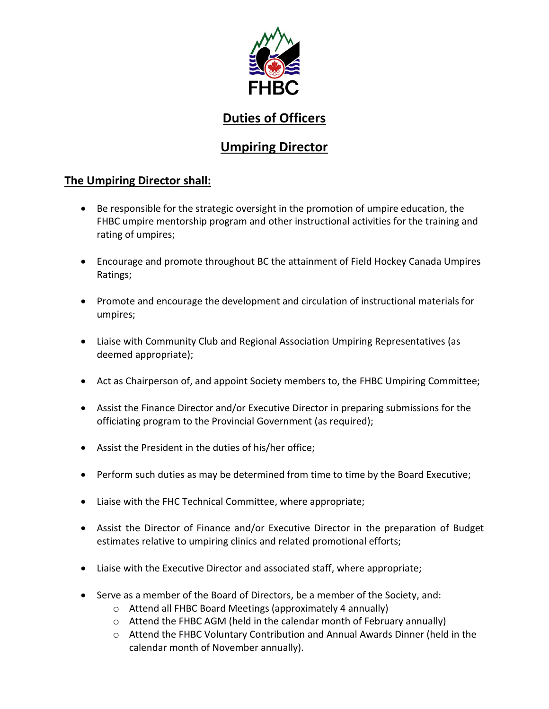

## **Duties of Officers**

# **Umpiring Director**

## **The Umpiring Director shall:**

- Be responsible for the strategic oversight in the promotion of umpire education, the FHBC umpire mentorship program and other instructional activities for the training and rating of umpires;
- Encourage and promote throughout BC the attainment of Field Hockey Canada Umpires Ratings;
- Promote and encourage the development and circulation of instructional materials for umpires;
- Liaise with Community Club and Regional Association Umpiring Representatives (as deemed appropriate);
- Act as Chairperson of, and appoint Society members to, the FHBC Umpiring Committee;
- Assist the Finance Director and/or Executive Director in preparing submissions for the officiating program to the Provincial Government (as required);
- Assist the President in the duties of his/her office;
- Perform such duties as may be determined from time to time by the Board Executive;
- Liaise with the FHC Technical Committee, where appropriate;
- Assist the Director of Finance and/or Executive Director in the preparation of Budget estimates relative to umpiring clinics and related promotional efforts;
- Liaise with the Executive Director and associated staff, where appropriate;
- Serve as a member of the Board of Directors, be a member of the Society, and:
	- o Attend all FHBC Board Meetings (approximately 4 annually)
	- o Attend the FHBC AGM (held in the calendar month of February annually)
	- o Attend the FHBC Voluntary Contribution and Annual Awards Dinner (held in the calendar month of November annually).